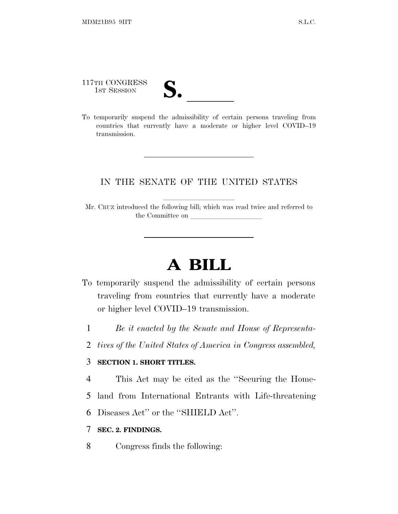117TH CONGRESS

117TH CONGRESS<br>
1ST SESSION<br>
To temporarily suspend the admissibility of certain persons traveling from countries that currently have a moderate or higher level COVID–19 transmission.

## IN THE SENATE OF THE UNITED STATES

Mr. CRUZ introduced the following bill; which was read twice and referred to the Committee on

## **A BILL**

- To temporarily suspend the admissibility of certain persons traveling from countries that currently have a moderate or higher level COVID–19 transmission.
	- 1 *Be it enacted by the Senate and House of Representa-*
	- 2 *tives of the United States of America in Congress assembled,*

## 3 **SECTION 1. SHORT TITLES.**

4 This Act may be cited as the ''Securing the Home-

- 5 land from International Entrants with Life-threatening
- 6 Diseases Act'' or the ''SHIELD Act''.

## 7 **SEC. 2. FINDINGS.**

8 Congress finds the following: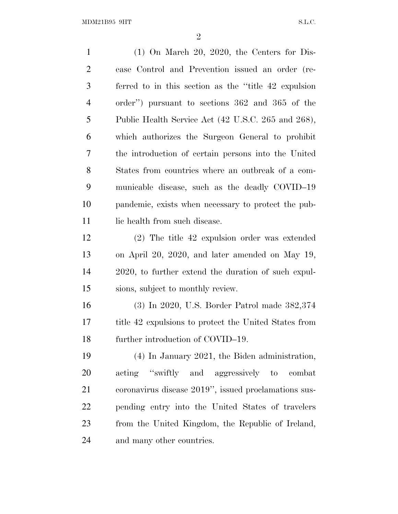(1) On March 20, 2020, the Centers for Dis- ease Control and Prevention issued an order (re- ferred to in this section as the ''title 42 expulsion order'') pursuant to sections 362 and 365 of the Public Health Service Act (42 U.S.C. 265 and 268), which authorizes the Surgeon General to prohibit the introduction of certain persons into the United States from countries where an outbreak of a com- municable disease, such as the deadly COVID–19 pandemic, exists when necessary to protect the pub-11 lic health from such disease. (2) The title 42 expulsion order was extended on April 20, 2020, and later amended on May 19, 2020, to further extend the duration of such expul- sions, subject to monthly review. (3) In 2020, U.S. Border Patrol made 382,374 title 42 expulsions to protect the United States from 18 further introduction of COVID–19. (4) In January 2021, the Biden administration,

 acting ''swiftly and aggressively to combat coronavirus disease 2019'', issued proclamations sus- pending entry into the United States of travelers from the United Kingdom, the Republic of Ireland, and many other countries.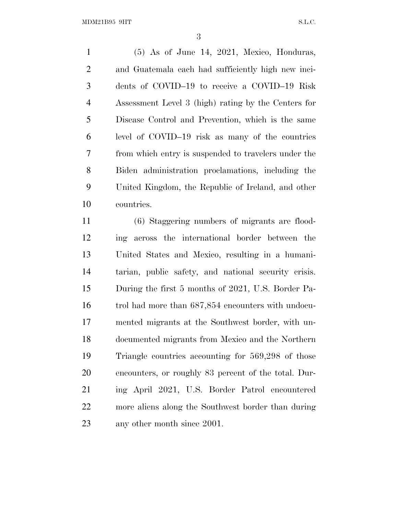(5) As of June 14, 2021, Mexico, Honduras, and Guatemala each had sufficiently high new inci- dents of COVID–19 to receive a COVID–19 Risk Assessment Level 3 (high) rating by the Centers for Disease Control and Prevention, which is the same level of COVID–19 risk as many of the countries from which entry is suspended to travelers under the Biden administration proclamations, including the United Kingdom, the Republic of Ireland, and other countries.

 (6) Staggering numbers of migrants are flood- ing across the international border between the United States and Mexico, resulting in a humani- tarian, public safety, and national security crisis. During the first 5 months of 2021, U.S. Border Pa- trol had more than 687,854 encounters with undocu- mented migrants at the Southwest border, with un- documented migrants from Mexico and the Northern Triangle countries accounting for 569,298 of those encounters, or roughly 83 percent of the total. Dur- ing April 2021, U.S. Border Patrol encountered more aliens along the Southwest border than during any other month since 2001.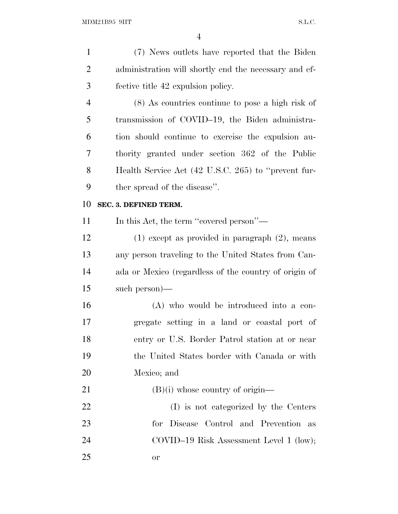| $\mathbf{1}$   | (7) News outlets have reported that the Biden         |
|----------------|-------------------------------------------------------|
| $\overline{2}$ | administration will shortly end the necessary and ef- |
| 3              | fective title 42 expulsion policy.                    |
| $\overline{4}$ | $(8)$ As countries continue to pose a high risk of    |
| 5              | transmission of COVID-19, the Biden administra-       |
| 6              | tion should continue to exercise the expulsion au-    |
| 7              | thority granted under section 362 of the Public       |
| 8              | Health Service Act (42 U.S.C. 265) to "prevent fur-   |
| 9              | ther spread of the disease".                          |
| 10             | SEC. 3. DEFINED TERM.                                 |
| 11             | In this Act, the term "covered person"—               |
| 12             | $(1)$ except as provided in paragraph $(2)$ , means   |
| 13             | any person traveling to the United States from Can-   |
| 14             | ada or Mexico (regardless of the country of origin of |
| 15             | such person)—                                         |
| 16             | (A) who would be introduced into a con-               |
| 17             | gregate setting in a land or coastal port of          |
| 18             | entry or U.S. Border Patrol station at or near        |
| 19             | the United States border with Canada or with          |
| 20             | Mexico; and                                           |
| 21             | $(B)(i)$ whose country of origin—                     |
| 22             | (I) is not categorized by the Centers                 |
| 23             | Disease Control and Prevention<br>for<br>as           |
| 24             | COVID-19 Risk Assessment Level 1 (low);               |
| 25             | <sub>or</sub>                                         |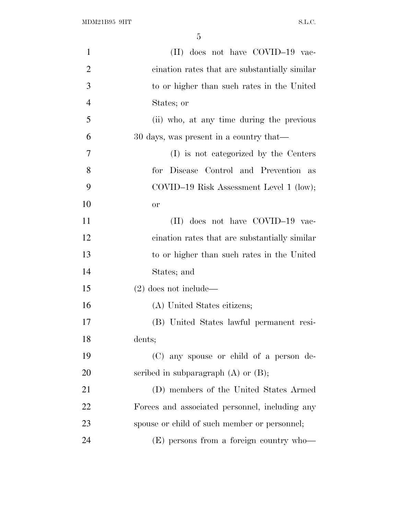| $\mathbf{1}$   | (II) does not have COVID-19 vac-                 |
|----------------|--------------------------------------------------|
| $\overline{2}$ | cination rates that are substantially similar    |
| 3              | to or higher than such rates in the United       |
| $\overline{4}$ | States; or                                       |
| 5              | (ii) who, at any time during the previous        |
| 6              | 30 days, was present in a country that—          |
| 7              | (I) is not categorized by the Centers            |
| 8              | for Disease Control and Prevention as            |
| 9              | $\text{COVID-19 Risk Assessment Level 1 (low);}$ |
| 10             | <b>or</b>                                        |
| 11             | (II) does not have COVID-19 vac-                 |
| 12             | cination rates that are substantially similar    |
| 13             | to or higher than such rates in the United       |
| 14             | States; and                                      |
| 15             | $(2)$ does not include—                          |
| 16             | (A) United States citizens;                      |
| 17             | (B) United States lawful permanent resi-         |
| 18             | dents;                                           |
| 19             | (C) any spouse or child of a person de-          |
| 20             | scribed in subparagraph $(A)$ or $(B)$ ;         |
| 21             | (D) members of the United States Armed           |
| 22             | Forces and associated personnel, including any   |
| 23             | spouse or child of such member or personnel;     |
| 24             | (E) persons from a foreign country who—          |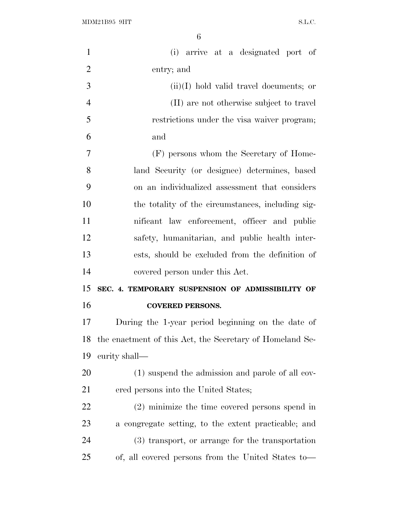| $\mathbf{1}$   | (i) arrive at a designated port of                       |
|----------------|----------------------------------------------------------|
| $\overline{2}$ | entry; and                                               |
| 3              | $(ii)(I)$ hold valid travel documents; or                |
| $\overline{4}$ | (II) are not otherwise subject to travel                 |
| 5              | restrictions under the visa waiver program;              |
| 6              | and                                                      |
| 7              | (F) persons whom the Secretary of Home-                  |
| 8              | land Security (or designee) determines, based            |
| 9              | on an individualized assessment that considers           |
| 10             | the totality of the circumstances, including sig-        |
| 11             | nificant law enforcement, officer and public             |
| 12             | safety, humanitarian, and public health inter-           |
| 13             | ests, should be excluded from the definition of          |
|                |                                                          |
| 14             | covered person under this Act.                           |
| 15             | SEC. 4. TEMPORARY SUSPENSION OF ADMISSIBILITY OF         |
| 16             | <b>COVERED PERSONS.</b>                                  |
| 17             | During the 1-year period beginning on the date of        |
|                | the enactment of this Act, the Secretary of Homeland Se- |
| 18<br>19       | curity shall-                                            |
|                | (1) suspend the admission and parole of all cov-         |
| 20<br>21       | ered persons into the United States;                     |
| 22             | $(2)$ minimize the time covered persons spend in         |
| 23             | a congregate setting, to the extent practicable; and     |
| 24             | (3) transport, or arrange for the transportation         |
| 25             | of, all covered persons from the United States to-       |